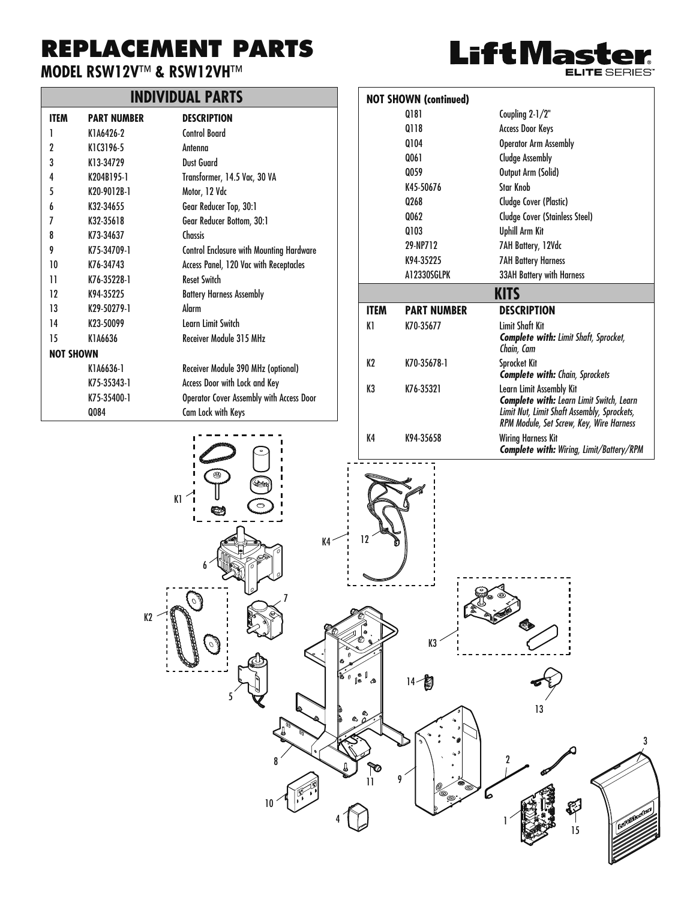## **REPLACEMENT PARTS**

#### **MODEL RSW12V**™ **& RSW12VH**™

### **INDIVIDUAL PARTS**

| ITEM             | <b>PART NUMBER</b>    | <b>DESCRIPTION</b>                              |
|------------------|-----------------------|-------------------------------------------------|
| 1                | K146426-2             | Control Board                                   |
| 2                | K1C3196-5             | Antenna                                         |
| 3                | K13-34729             | Dust Guard                                      |
| 4                | K204R195-1            | Transformer, 14.5 Vac, 30 VA                    |
| 5                | K20-9012B-1           | Motor, 12 Vdc                                   |
| 6                | K32-34655             | Gear Reducer Top, 30:1                          |
| 7                | K32-35618             | Gear Reducer Bottom, 30:1                       |
| 8                | K73-34637             | Chassis                                         |
| 9                | K75-34709-1           | <b>Control Enclosure with Mounting Hardware</b> |
| 10               | K76-34743             | Access Panel, 120 Vac with Receptacles          |
| 11               | K76-35228-1           | Recet Switch                                    |
| 12               | K94-35225             | <b>Battery Harness Assembly</b>                 |
| 13               | K29-50279-1           | Alarm                                           |
| 14               | K <sub>23-50099</sub> | Learn Limit Switch                              |
| 15               | K146636               | Receiver Module 315 MHz                         |
| <b>NOT SHOWN</b> |                       |                                                 |
|                  | K1A6636-1             | Receiver Module 390 MHz (optional)              |
|                  | K75-35343-1           | Access Door with Lock and Key                   |
|                  | K75-35400-1           | Operator Cover Assembly with Access Door        |
|                  | Q084                  | Cam Lock with Keys                              |



|             | <b>NOT SHOWN (continued)</b> |                                                                                                                                                                        |
|-------------|------------------------------|------------------------------------------------------------------------------------------------------------------------------------------------------------------------|
|             | 0181                         | Coupling 2-1/2"                                                                                                                                                        |
|             | 0118                         | <b>Access Door Keys</b>                                                                                                                                                |
|             | 0104                         | <b>Operator Arm Assembly</b>                                                                                                                                           |
|             | 0061                         | <b>Cludge Assembly</b>                                                                                                                                                 |
|             | 0059                         | Output Arm (Solid)                                                                                                                                                     |
|             | K45-50676                    | <b>Star Knob</b>                                                                                                                                                       |
|             | 0268                         | Cludge Cover (Plastic)                                                                                                                                                 |
|             | Q062                         | <b>Cludge Cover (Stainless Steel)</b>                                                                                                                                  |
|             | 0103                         | <b>Uphill Arm Kit</b>                                                                                                                                                  |
|             | 29-NP712                     | 7AH Battery, 12Vdc                                                                                                                                                     |
|             | K94-35225                    | <b>7AH Battery Harness</b>                                                                                                                                             |
|             | A12330SGLPK                  | <b>33AH Battery with Harness</b>                                                                                                                                       |
|             |                              | <b>KITS</b>                                                                                                                                                            |
| <b>ITEM</b> | <b>PART NUMBER</b>           | <b>DESCRIPTION</b>                                                                                                                                                     |
| K1          | K70-35677                    | <b>Limit Shaft Kit</b><br><b>Complete with: Limit Shaft, Sprocket,</b><br>Chain, Cam                                                                                   |
| K2          | K70-35678-1                  | Sprocket Kit<br><b>Complete with: Chain, Sprockets</b>                                                                                                                 |
| K3          | K76-35321                    | Learn Limit Assembly Kit<br><b>Complete with: Learn Limit Switch, Learn</b><br>Limit Nut, Limit Shaft Assembly, Sprockets,<br>RPM Module, Set Screw, Key, Wire Harness |
| K4          | K94-35658                    | Wiring Harness Kit<br><b>Complete with:</b> Wiring. Limit/Battery/RPM                                                                                                  |